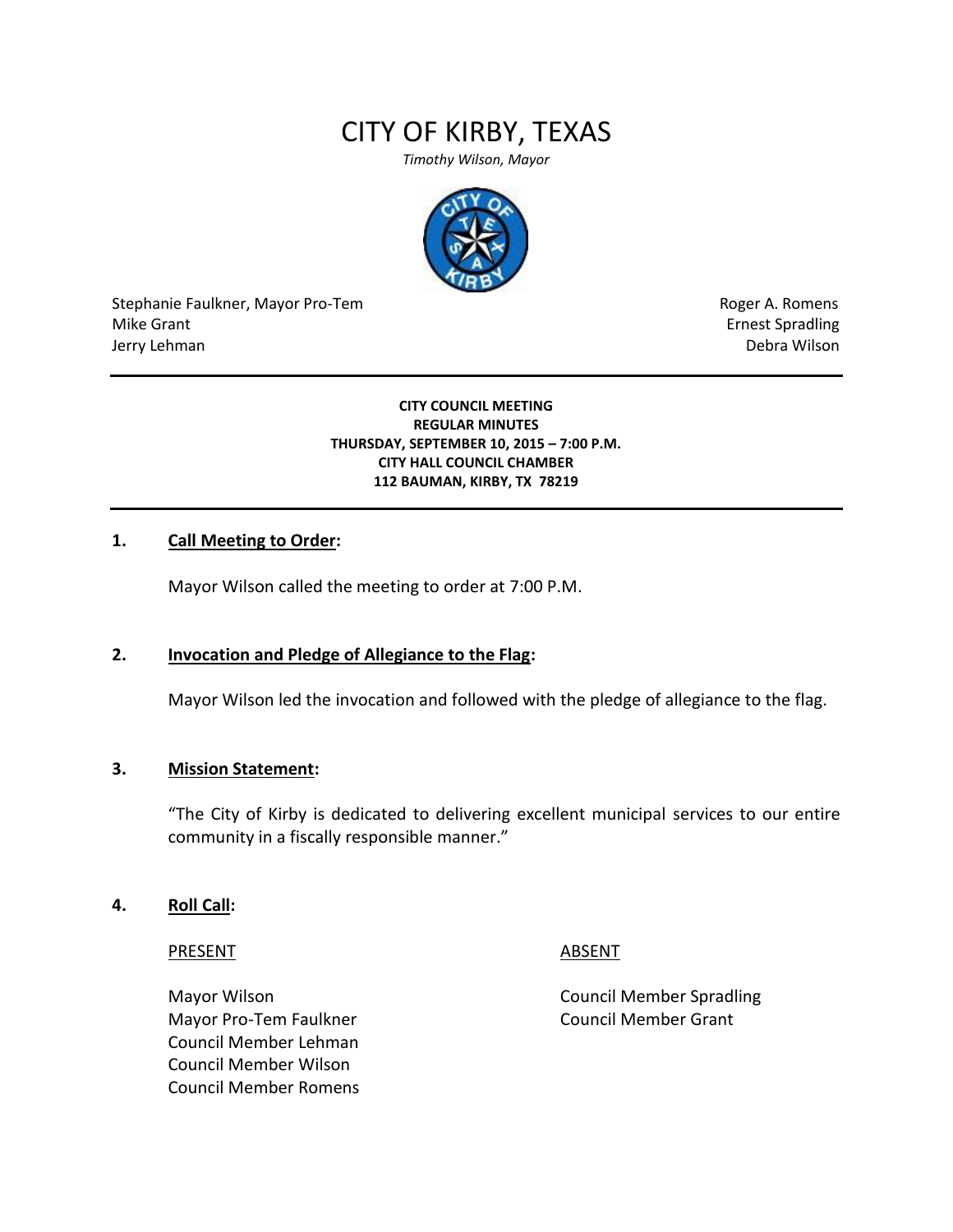# CITY OF KIRBY, TEXAS

*Timothy Wilson, Mayor*



Stephanie Faulkner, Mayor Pro-Tem **Roger A. Romens** Roger A. Romens Mike Grant **Example 2018** and the set of the set of the set of the set of the set of the set of the set of the set of the set of the set of the set of the set of the set of the set of the set of the set of the set of the s Jerry Lehman Debra Wilson

#### **CITY COUNCIL MEETING REGULAR MINUTES THURSDAY, SEPTEMBER 10, 2015 – 7:00 P.M. CITY HALL COUNCIL CHAMBER 112 BAUMAN, KIRBY, TX 78219**

# **1. Call Meeting to Order:**

Mayor Wilson called the meeting to order at 7:00 P.M.

# **2. Invocation and Pledge of Allegiance to the Flag:**

Mayor Wilson led the invocation and followed with the pledge of allegiance to the flag.

#### **3. Mission Statement:**

"The City of Kirby is dedicated to delivering excellent municipal services to our entire community in a fiscally responsible manner."

#### **4. Roll Call:**

PRESENT ABSENT

Mayor Pro-Tem Faulkner Council Member Grant Council Member Lehman Council Member Wilson Council Member Romens

Mayor Wilson Council Member Spradling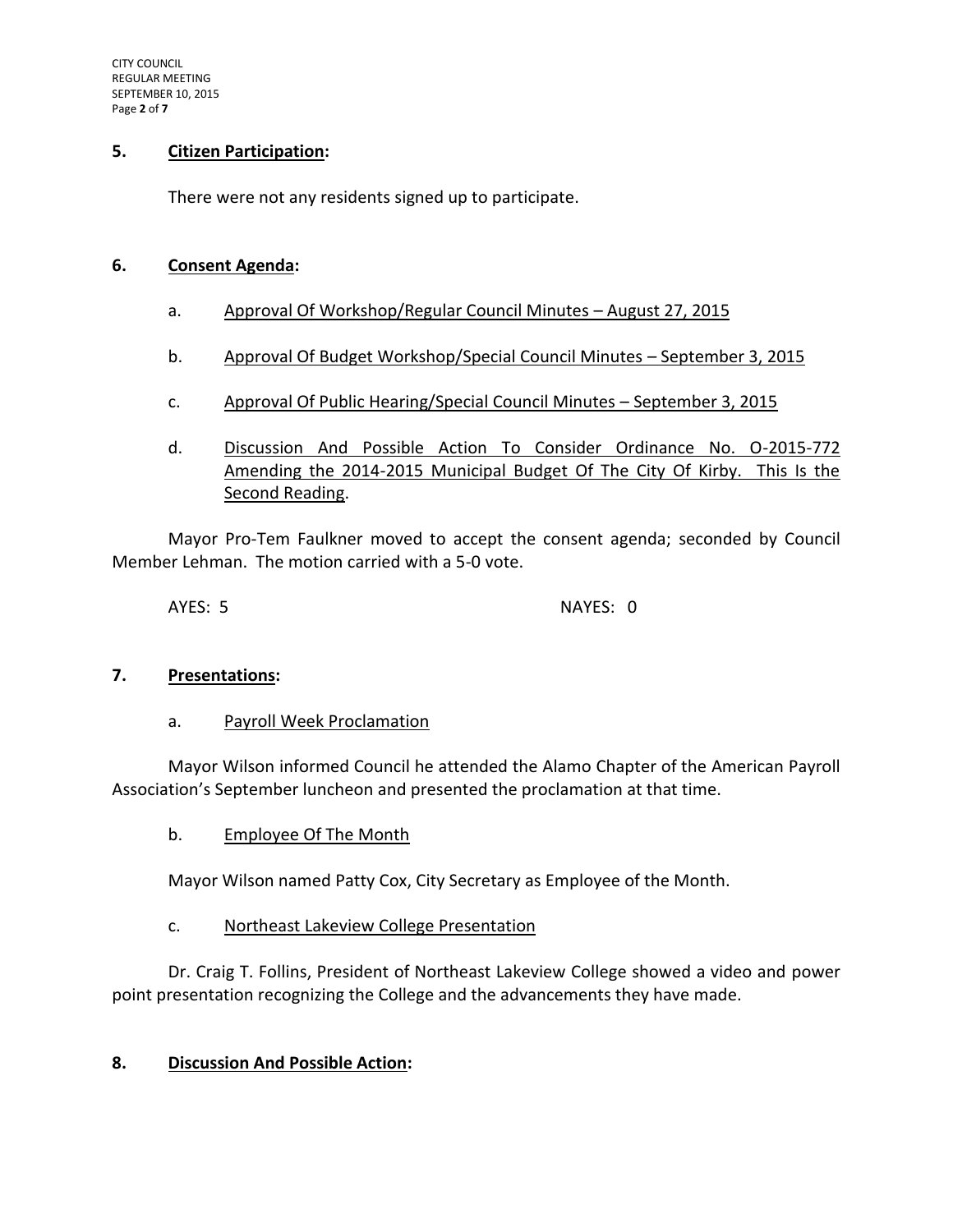## **5. Citizen Participation:**

There were not any residents signed up to participate.

## **6. Consent Agenda:**

- a. Approval Of Workshop/Regular Council Minutes August 27, 2015
- b. Approval Of Budget Workshop/Special Council Minutes September 3, 2015
- c. Approval Of Public Hearing/Special Council Minutes September 3, 2015
- d. Discussion And Possible Action To Consider Ordinance No. O-2015-772 Amending the 2014-2015 Municipal Budget Of The City Of Kirby. This Is the Second Reading.

Mayor Pro-Tem Faulkner moved to accept the consent agenda; seconded by Council Member Lehman. The motion carried with a 5-0 vote.

AYES: 5 NAYES: 0

# **7. Presentations:**

#### a. Payroll Week Proclamation

Mayor Wilson informed Council he attended the Alamo Chapter of the American Payroll Association's September luncheon and presented the proclamation at that time.

b. Employee Of The Month

Mayor Wilson named Patty Cox, City Secretary as Employee of the Month.

# c. Northeast Lakeview College Presentation

Dr. Craig T. Follins, President of Northeast Lakeview College showed a video and power point presentation recognizing the College and the advancements they have made.

# **8. Discussion And Possible Action:**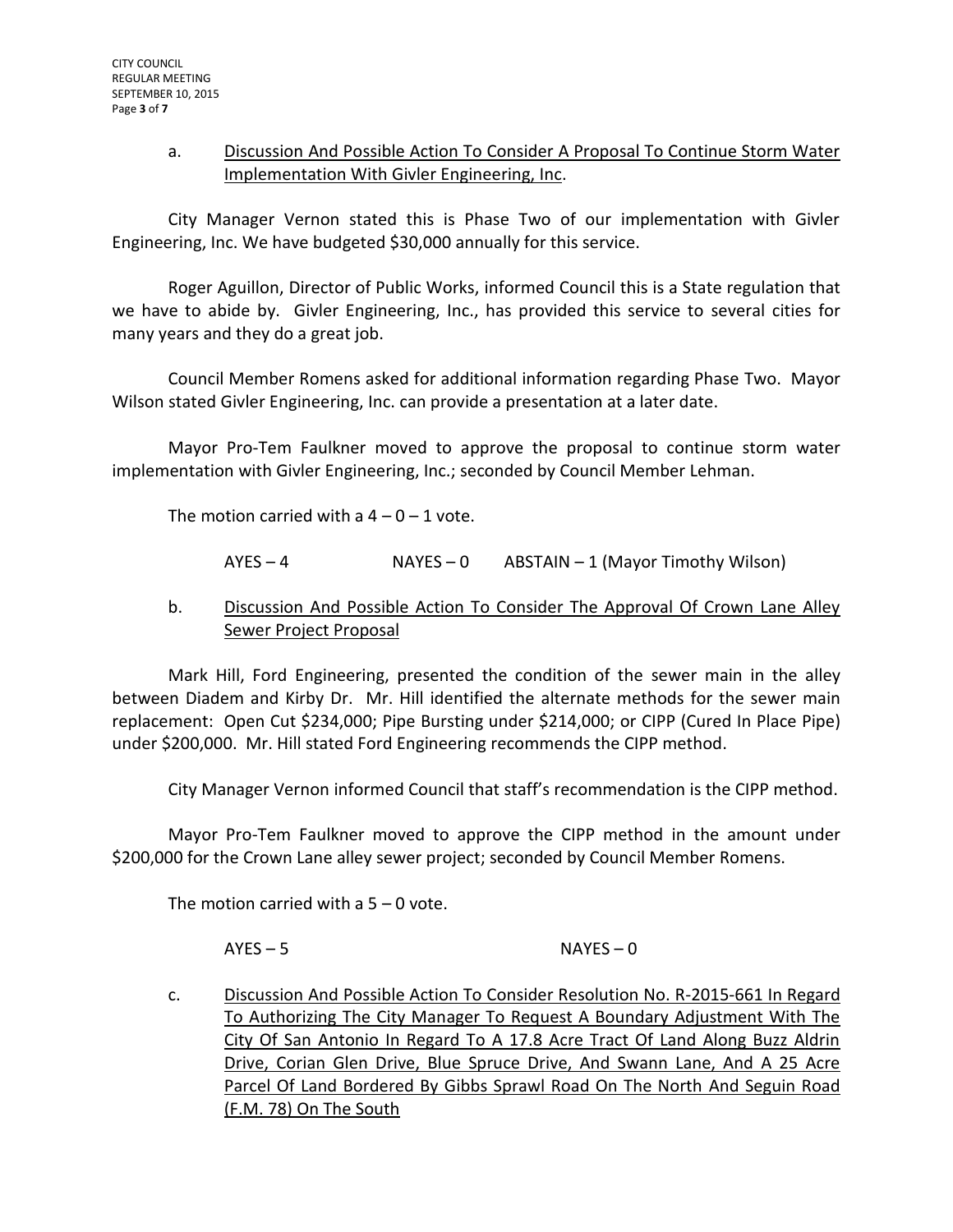# a. Discussion And Possible Action To Consider A Proposal To Continue Storm Water Implementation With Givler Engineering, Inc.

City Manager Vernon stated this is Phase Two of our implementation with Givler Engineering, Inc. We have budgeted \$30,000 annually for this service.

Roger Aguillon, Director of Public Works, informed Council this is a State regulation that we have to abide by. Givler Engineering, Inc., has provided this service to several cities for many years and they do a great job.

Council Member Romens asked for additional information regarding Phase Two. Mayor Wilson stated Givler Engineering, Inc. can provide a presentation at a later date.

Mayor Pro-Tem Faulkner moved to approve the proposal to continue storm water implementation with Givler Engineering, Inc.; seconded by Council Member Lehman.

The motion carried with a  $4 - 0 - 1$  vote.

 $AYES - 4$  NAYES – 0 ABSTAIN – 1 (Mayor Timothy Wilson)

# b. Discussion And Possible Action To Consider The Approval Of Crown Lane Alley Sewer Project Proposal

Mark Hill, Ford Engineering, presented the condition of the sewer main in the alley between Diadem and Kirby Dr. Mr. Hill identified the alternate methods for the sewer main replacement: Open Cut \$234,000; Pipe Bursting under \$214,000; or CIPP (Cured In Place Pipe) under \$200,000. Mr. Hill stated Ford Engineering recommends the CIPP method.

City Manager Vernon informed Council that staff's recommendation is the CIPP method.

Mayor Pro-Tem Faulkner moved to approve the CIPP method in the amount under \$200,000 for the Crown Lane alley sewer project; seconded by Council Member Romens.

The motion carried with a  $5 - 0$  vote.

AYES – 5 NAYES – 0

c. Discussion And Possible Action To Consider Resolution No. R-2015-661 In Regard To Authorizing The City Manager To Request A Boundary Adjustment With The City Of San Antonio In Regard To A 17.8 Acre Tract Of Land Along Buzz Aldrin Drive, Corian Glen Drive, Blue Spruce Drive, And Swann Lane, And A 25 Acre Parcel Of Land Bordered By Gibbs Sprawl Road On The North And Seguin Road (F.M. 78) On The South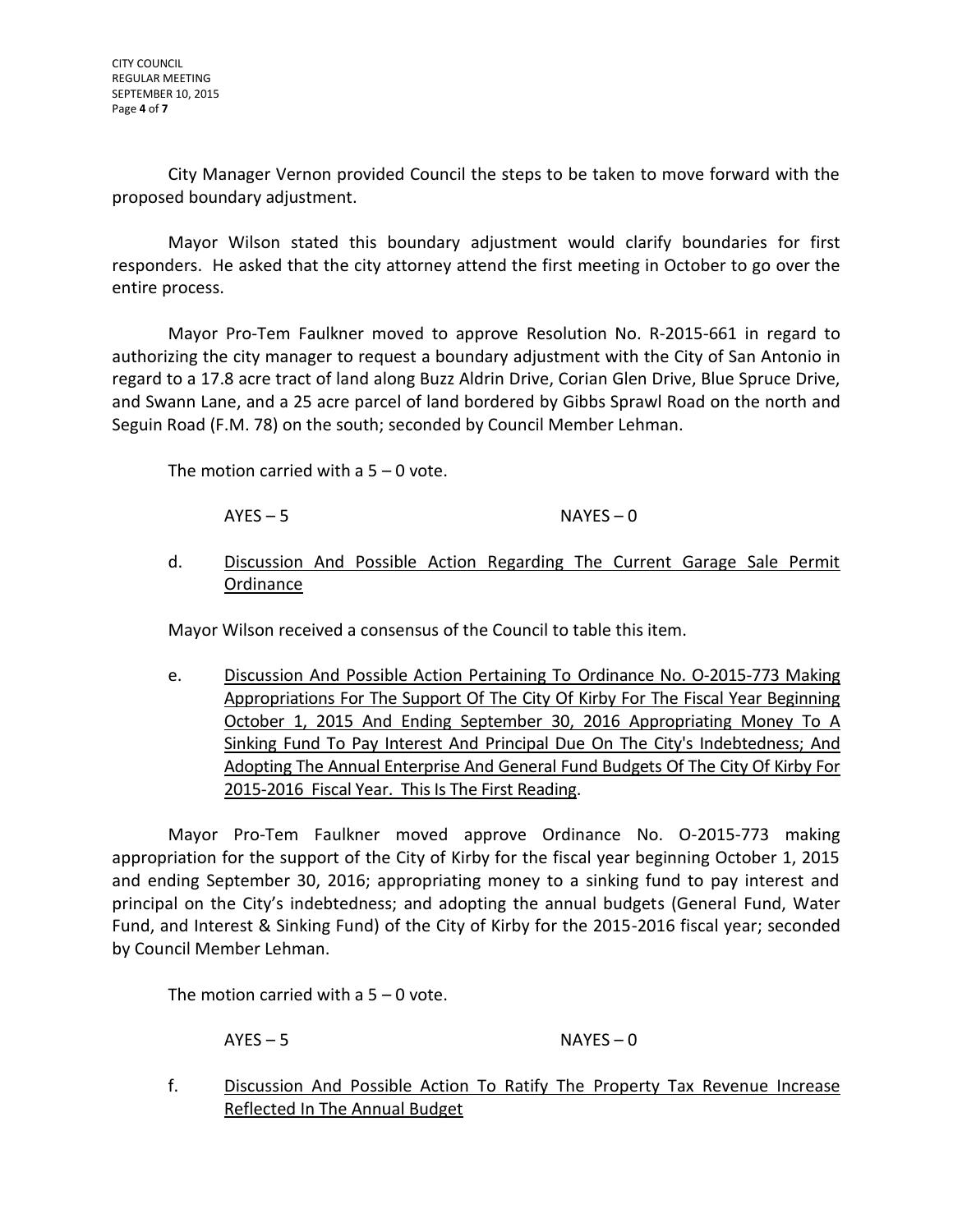CITY COUNCIL REGULAR MEETING SEPTEMBER 10, 2015 Page **4** of **7**

City Manager Vernon provided Council the steps to be taken to move forward with the proposed boundary adjustment.

Mayor Wilson stated this boundary adjustment would clarify boundaries for first responders. He asked that the city attorney attend the first meeting in October to go over the entire process.

Mayor Pro-Tem Faulkner moved to approve Resolution No. R-2015-661 in regard to authorizing the city manager to request a boundary adjustment with the City of San Antonio in regard to a 17.8 acre tract of land along Buzz Aldrin Drive, Corian Glen Drive, Blue Spruce Drive, and Swann Lane, and a 25 acre parcel of land bordered by Gibbs Sprawl Road on the north and Seguin Road (F.M. 78) on the south; seconded by Council Member Lehman.

The motion carried with a  $5 - 0$  vote.

 $AYES - 5$  NAYES – 0

d. Discussion And Possible Action Regarding The Current Garage Sale Permit Ordinance

Mayor Wilson received a consensus of the Council to table this item.

e. Discussion And Possible Action Pertaining To Ordinance No. O-2015-773 Making Appropriations For The Support Of The City Of Kirby For The Fiscal Year Beginning October 1, 2015 And Ending September 30, 2016 Appropriating Money To A Sinking Fund To Pay Interest And Principal Due On The City's Indebtedness; And Adopting The Annual Enterprise And General Fund Budgets Of The City Of Kirby For 2015-2016 Fiscal Year. This Is The First Reading.

Mayor Pro-Tem Faulkner moved approve Ordinance No. O-2015-773 making appropriation for the support of the City of Kirby for the fiscal year beginning October 1, 2015 and ending September 30, 2016; appropriating money to a sinking fund to pay interest and principal on the City's indebtedness; and adopting the annual budgets (General Fund, Water Fund, and Interest & Sinking Fund) of the City of Kirby for the 2015-2016 fiscal year; seconded by Council Member Lehman.

The motion carried with a  $5 - 0$  vote.

AYES – 5 NAYES – 0

f. Discussion And Possible Action To Ratify The Property Tax Revenue Increase Reflected In The Annual Budget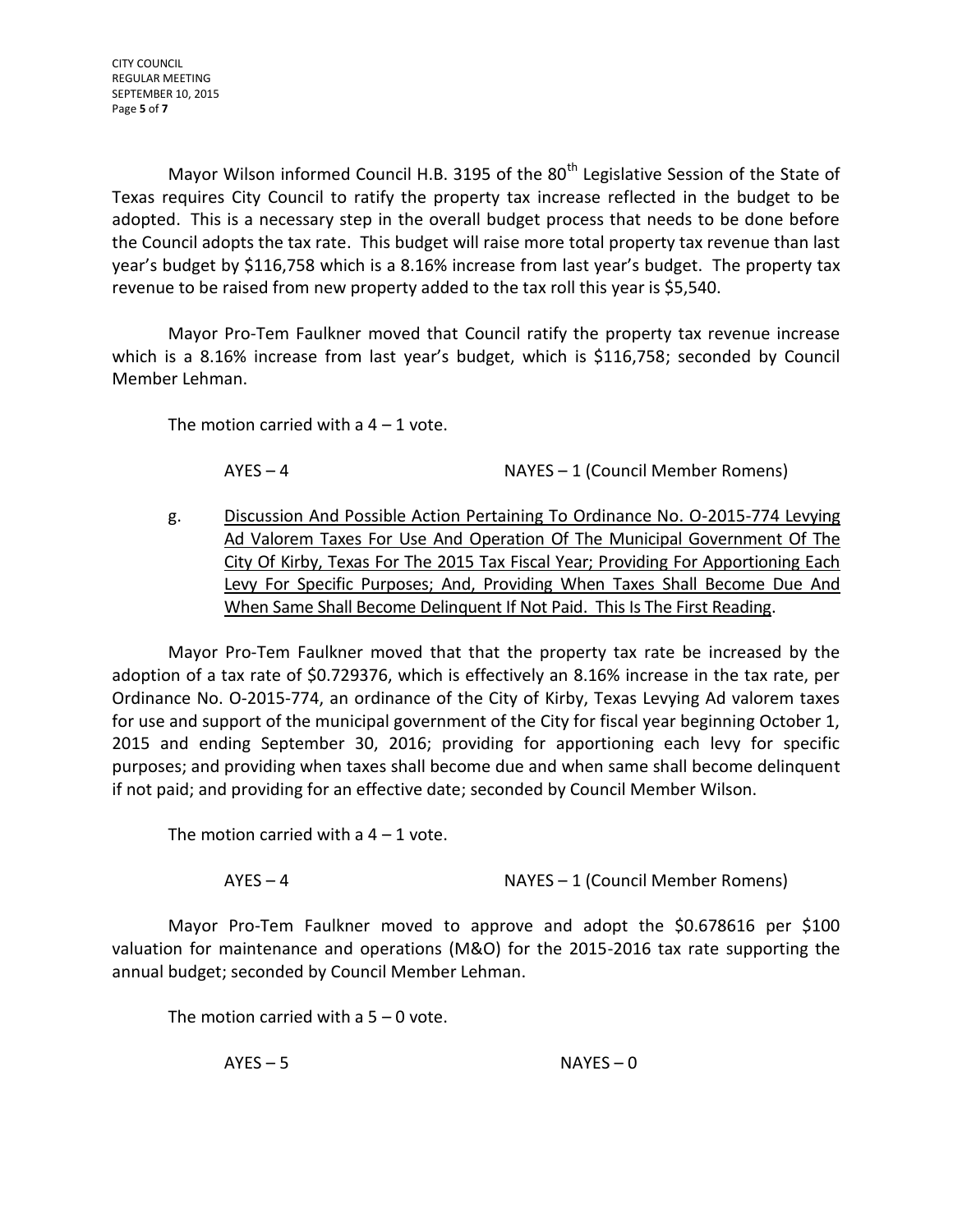CITY COUNCIL REGULAR MEETING SEPTEMBER 10, 2015 Page **5** of **7**

Mayor Wilson informed Council H.B. 3195 of the  $80<sup>th</sup>$  Legislative Session of the State of Texas requires City Council to ratify the property tax increase reflected in the budget to be adopted. This is a necessary step in the overall budget process that needs to be done before the Council adopts the tax rate. This budget will raise more total property tax revenue than last year's budget by \$116,758 which is a 8.16% increase from last year's budget. The property tax revenue to be raised from new property added to the tax roll this year is \$5,540.

Mayor Pro-Tem Faulkner moved that Council ratify the property tax revenue increase which is a 8.16% increase from last year's budget, which is \$116,758; seconded by Council Member Lehman.

The motion carried with a  $4 - 1$  vote.

AYES – 4 NAYES – 1 (Council Member Romens)

g. Discussion And Possible Action Pertaining To Ordinance No. O-2015-774 Levying Ad Valorem Taxes For Use And Operation Of The Municipal Government Of The City Of Kirby, Texas For The 2015 Tax Fiscal Year; Providing For Apportioning Each Levy For Specific Purposes; And, Providing When Taxes Shall Become Due And When Same Shall Become Delinquent If Not Paid. This Is The First Reading.

Mayor Pro-Tem Faulkner moved that that the property tax rate be increased by the adoption of a tax rate of \$0.729376, which is effectively an 8.16% increase in the tax rate, per Ordinance No. O-2015-774, an ordinance of the City of Kirby, Texas Levying Ad valorem taxes for use and support of the municipal government of the City for fiscal year beginning October 1, 2015 and ending September 30, 2016; providing for apportioning each levy for specific purposes; and providing when taxes shall become due and when same shall become delinquent if not paid; and providing for an effective date; seconded by Council Member Wilson.

The motion carried with a  $4 - 1$  vote.

AYES – 4 NAYES – 1 (Council Member Romens)

Mayor Pro-Tem Faulkner moved to approve and adopt the \$0.678616 per \$100 valuation for maintenance and operations (M&O) for the 2015-2016 tax rate supporting the annual budget; seconded by Council Member Lehman.

The motion carried with a  $5 - 0$  vote.

AYES – 5 NAYES – 0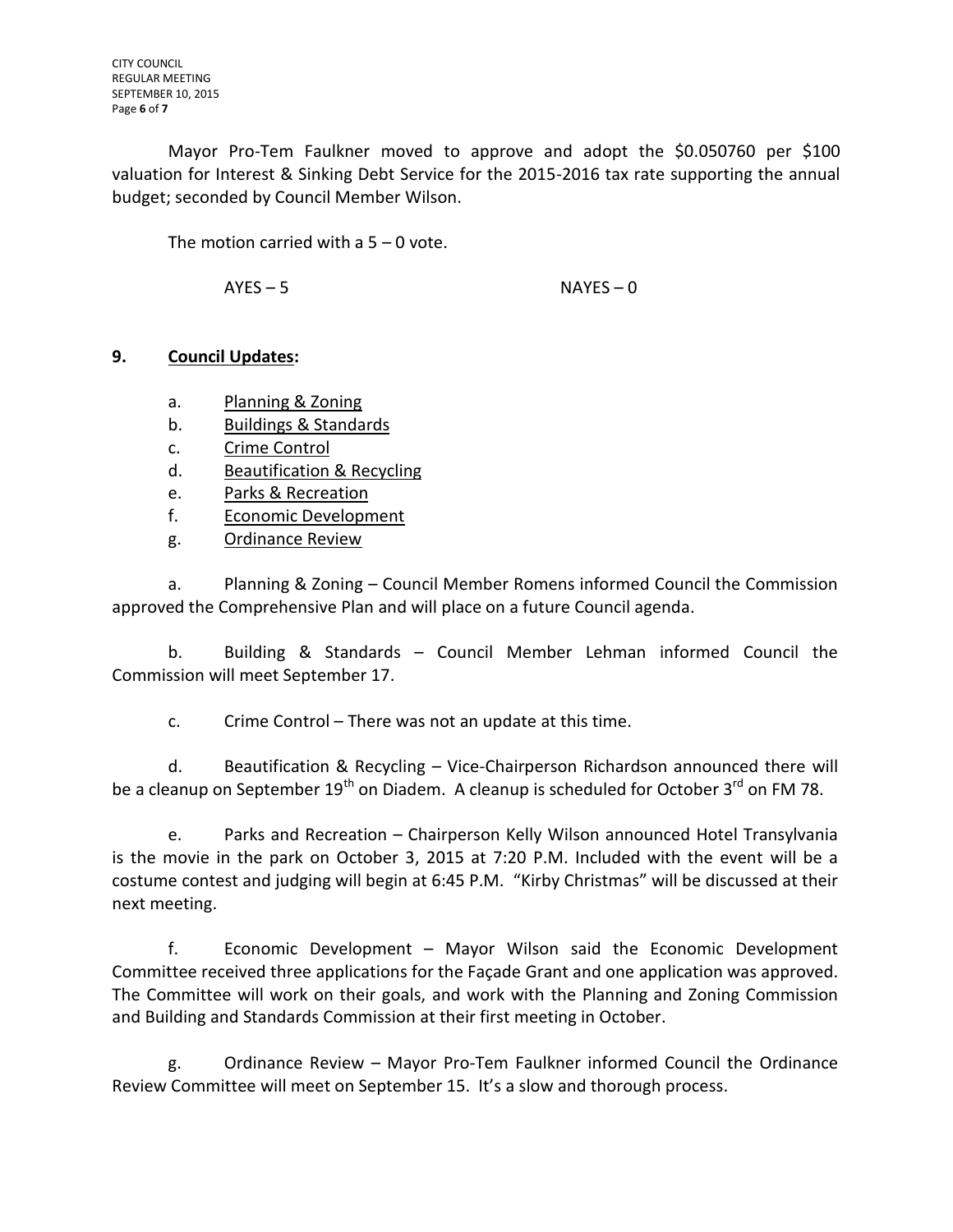Mayor Pro-Tem Faulkner moved to approve and adopt the \$0.050760 per \$100 valuation for Interest & Sinking Debt Service for the 2015-2016 tax rate supporting the annual budget; seconded by Council Member Wilson.

The motion carried with a 5 – 0 vote.

AYES – 5 NAYES – 0

# **9. Council Updates:**

- a. Planning & Zoning
- b. Buildings & Standards
- c. Crime Control
- d. Beautification & Recycling
- e. Parks & Recreation
- f. Economic Development
- g. Ordinance Review

a. Planning & Zoning – Council Member Romens informed Council the Commission approved the Comprehensive Plan and will place on a future Council agenda.

b. Building & Standards – Council Member Lehman informed Council the Commission will meet September 17.

c. Crime Control – There was not an update at this time.

d. Beautification & Recycling – Vice-Chairperson Richardson announced there will be a cleanup on September  $19<sup>th</sup>$  on Diadem. A cleanup is scheduled for October 3<sup>rd</sup> on FM 78.

e. Parks and Recreation – Chairperson Kelly Wilson announced Hotel Transylvania is the movie in the park on October 3, 2015 at 7:20 P.M. Included with the event will be a costume contest and judging will begin at 6:45 P.M. "Kirby Christmas" will be discussed at their next meeting.

f. Economic Development – Mayor Wilson said the Economic Development Committee received three applications for the Façade Grant and one application was approved. The Committee will work on their goals, and work with the Planning and Zoning Commission and Building and Standards Commission at their first meeting in October.

g. Ordinance Review – Mayor Pro-Tem Faulkner informed Council the Ordinance Review Committee will meet on September 15. It's a slow and thorough process.